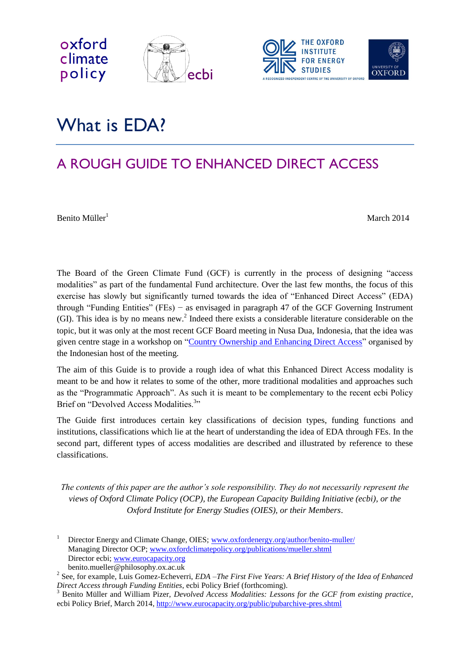



# What is **FDA**?

# A ROUGH GUIDE TO ENHANCED DIRECT ACCESS

 $B$ enito Müller<sup>1</sup> March 2014

oxford

policy

The Board of the Green Climate Fund (GCF) is currently in the process of designing "access modalities" as part of the fundamental Fund architecture. Over the last few months, the focus of this exercise has slowly but significantly turned towards the idea of "Enhanced Direct Access" (EDA) through "Funding Entities" (FEs) − as envisaged in paragraph 47 of the GCF Governing Instrument (GI). This idea is by no means new.<sup>2</sup> Indeed there exists a considerable literature considerable on the topic, but it was only at the most recent GCF Board meeting in Nusa Dua, Indonesia, that the idea was given centre stage in a workshop on ["Country Ownership and Enhancing Direct Access"](http://www.eurocapacity.org/downloads/Invitation_Board_luncheon_discussion17Feb14.pdf) organised by the Indonesian host of the meeting.

The aim of this Guide is to provide a rough idea of what this Enhanced Direct Access modality is meant to be and how it relates to some of the other, more traditional modalities and approaches such as the "Programmatic Approach". As such it is meant to be complementary to the recent ecbi Policy Brief on "Devolved Access Modalities.<sup>3</sup>"

The Guide first introduces certain key classifications of decision types, funding functions and institutions, classifications which lie at the heart of understanding the idea of EDA through FEs. In the second part, different types of access modalities are described and illustrated by reference to these classifications.

*The contents of this paper are the author's sole responsibility. They do not necessarily represent the views of Oxford Climate Policy (OCP), the European Capacity Building Initiative (ecbi), or the Oxford Institute for Energy Studies (OIES), or their Members*.

Director Energy and Climate Change, OIES; [www.oxfordenergy.org/author/benito-muller/](http://www.oxfordenergy.org/author/benito-muller/) Managing Director OCP; [www.oxfordclimatepolicy.org/publications/mueller.shtml](http://www.oxfordclimatepolicy.org/publications/mueller.shtml) Director ecbi; [www.eurocapacity.org](http://www.eurocapacity.org/)  benito.mueller@philosophy.ox.ac.uk

<sup>2</sup> See, for example, Luis Gomez-Echeverri, *EDA –The First Five Years: A Brief History of the Idea of Enhanced Direct Access through Funding Entities*, ecbi Policy Brief (forthcoming).

<sup>3</sup> Benito Müller and William Pizer, *Devolved Access Modalities: Lessons for the GCF from existing practice*, ecbi Policy Brief, March 2014,<http://www.eurocapacity.org/public/pubarchive-pres.shtml>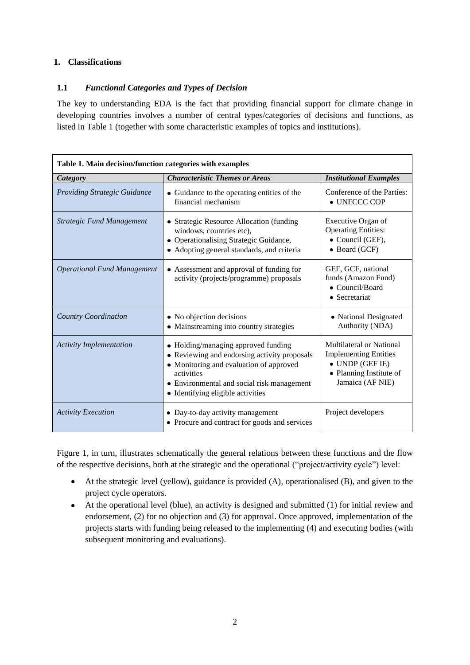# **1. Classifications**

# **1.1** *Functional Categories and Types of Decision*

The key to understanding EDA is the fact that providing financial support for climate change in developing countries involves a number of central types/categories of decisions and functions, as listed in Table 1 (together with some characteristic examples of topics and institutions).

| Table 1. Main decision/function categories with examples |                                                                                                                                                                                                                                 |                                                                                                                                    |
|----------------------------------------------------------|---------------------------------------------------------------------------------------------------------------------------------------------------------------------------------------------------------------------------------|------------------------------------------------------------------------------------------------------------------------------------|
| Category                                                 | <b>Characteristic Themes or Areas</b>                                                                                                                                                                                           | <b>Institutional Examples</b>                                                                                                      |
| <b>Providing Strategic Guidance</b>                      | • Guidance to the operating entities of the<br>financial mechanism                                                                                                                                                              | Conference of the Parties:<br>$\bullet$ UNFCCC COP                                                                                 |
| <b>Strategic Fund Management</b>                         | • Strategic Resource Allocation (funding<br>windows, countries etc),<br>• Operationalising Strategic Guidance,<br>• Adopting general standards, and criteria                                                                    | Executive Organ of<br><b>Operating Entities:</b><br>• Council (GEF),<br>• Board (GCF)                                              |
| <b>Operational Fund Management</b>                       | • Assessment and approval of funding for<br>activity (projects/programme) proposals                                                                                                                                             | GEF, GCF, national<br>funds (Amazon Fund)<br>• Council/Board<br>• Secretariat                                                      |
| Country Coordination                                     | • No objection decisions<br>• Mainstreaming into country strategies                                                                                                                                                             | • National Designated<br>Authority (NDA)                                                                                           |
| <b>Activity Implementation</b>                           | • Holding/managing approved funding<br>• Reviewing and endorsing activity proposals<br>• Monitoring and evaluation of approved<br>activities<br>• Environmental and social risk management<br>• Identifying eligible activities | Multilateral or National<br><b>Implementing Entities</b><br>$\bullet$ UNDP (GEF IE)<br>• Planning Institute of<br>Jamaica (AF NIE) |
| <b>Activity Execution</b>                                | • Day-to-day activity management<br>• Procure and contract for goods and services                                                                                                                                               | Project developers                                                                                                                 |

Figure 1, in turn, illustrates schematically the general relations between these functions and the flow of the respective decisions, both at the strategic and the operational ("project/activity cycle") level:

- At the strategic level (yellow), guidance is provided (A), operationalised (B), and given to the project cycle operators.
- At the operational level (blue), an activity is designed and submitted (1) for initial review and endorsement, (2) for no objection and (3) for approval. Once approved, implementation of the projects starts with funding being released to the implementing (4) and executing bodies (with subsequent monitoring and evaluations).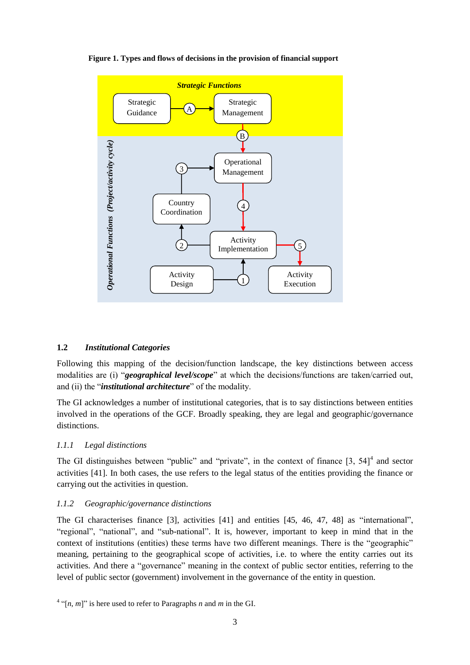

**Figure 1. Types and flows of decisions in the provision of financial support**

#### **1.2** *Institutional Categories*

Following this mapping of the decision/function landscape, the key distinctions between access modalities are (i) "*geographical level/scope*" at which the decisions/functions are taken/carried out, and (ii) the "*institutional architecture*" of the modality.

The GI acknowledges a number of institutional categories, that is to say distinctions between entities involved in the operations of the GCF. Broadly speaking, they are legal and geographic/governance distinctions.

#### *1.1.1 Legal distinctions*

The GI distinguishes between "public" and "private", in the context of finance  $\begin{bmatrix} 3 \\ 54 \end{bmatrix}^4$  and sector activities [41]. In both cases, the use refers to the legal status of the entities providing the finance or carrying out the activities in question.

#### *1.1.2 Geographic/governance distinctions*

The GI characterises finance [3], activities [41] and entities [45, 46, 47, 48] as "international", "regional", "national", and "sub-national". It is, however, important to keep in mind that in the context of institutions (entities) these terms have two different meanings. There is the "geographic" meaning, pertaining to the geographical scope of activities, i.e. to where the entity carries out its activities. And there a "governance" meaning in the context of public sector entities, referring to the level of public sector (government) involvement in the governance of the entity in question.

 $^4$  "[*n*, *m*]" is here used to refer to Paragraphs *n* and *m* in the GI.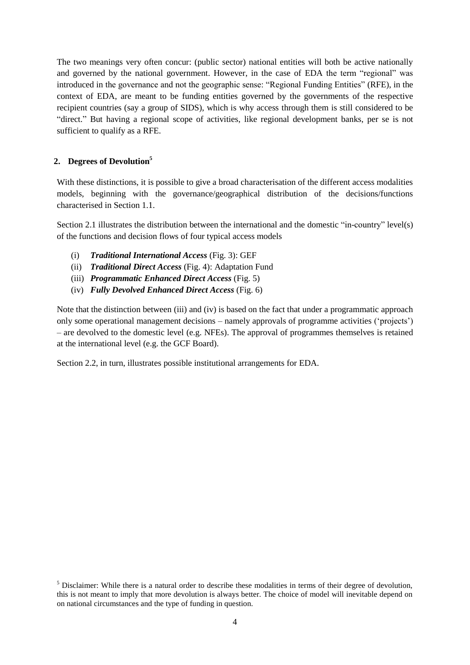The two meanings very often concur: (public sector) national entities will both be active nationally and governed by the national government. However, in the case of EDA the term "regional" was introduced in the governance and not the geographic sense: "Regional Funding Entities" (RFE), in the context of EDA, are meant to be funding entities governed by the governments of the respective recipient countries (say a group of SIDS), which is why access through them is still considered to be "direct." But having a regional scope of activities, like regional development banks, per se is not sufficient to qualify as a RFE.

## **2. Degrees of Devolution<sup>5</sup>**

With these distinctions, it is possible to give a broad characterisation of the different access modalities models, beginning with the governance/geographical distribution of the decisions/functions characterised in Section 1.1.

Section 2.1 illustrates the distribution between the international and the domestic "in-country" level(s) of the functions and decision flows of four typical access models

- (i) *Traditional International Access* (Fig. 3): GEF
- (ii) *Traditional Direct Access* (Fig. 4): Adaptation Fund
- (iii) *Programmatic Enhanced Direct Access* (Fig. 5)
- (iv) *Fully Devolved Enhanced Direct Access* (Fig. 6)

Note that the distinction between (iii) and (iv) is based on the fact that under a programmatic approach only some operational management decisions – namely approvals of programme activities ('projects') – are devolved to the domestic level (e.g. NFEs). The approval of programmes themselves is retained at the international level (e.g. the GCF Board).

Section 2.2, in turn, illustrates possible institutional arrangements for EDA.

 $<sup>5</sup>$  Disclaimer: While there is a natural order to describe these modalities in terms of their degree of devolution.</sup> this is not meant to imply that more devolution is always better. The choice of model will inevitable depend on on national circumstances and the type of funding in question.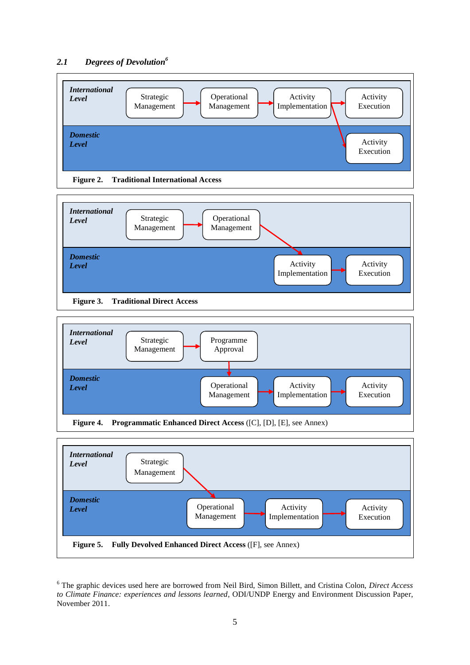#### *2.1 Degrees of Devolution<sup>6</sup>*





**Figure 3. Traditional Direct Access**





<sup>6</sup> The graphic devices used here are borrowed from Neil Bird, Simon Billett, and Cristina Colon, *Direct Access to Climate Finance: experiences and lessons learned*, ODI/UNDP Energy and Environment Discussion Paper, November 2011.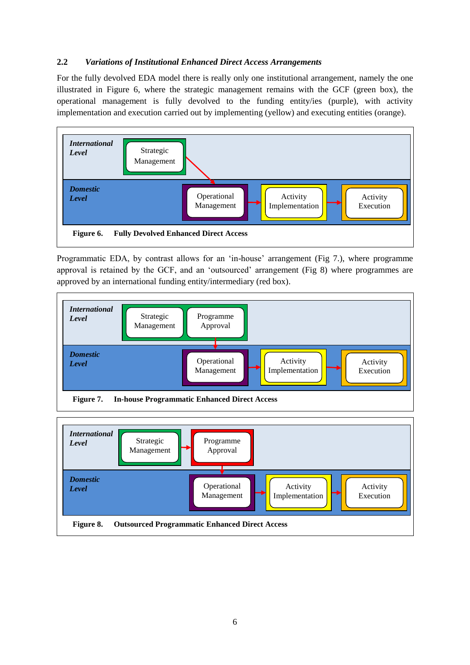### **2.2** *Variations of Institutional Enhanced Direct Access Arrangements*

For the fully devolved EDA model there is really only one institutional arrangement, namely the one illustrated in Figure 6, where the strategic management remains with the GCF (green box), the operational management is fully devolved to the funding entity/ies (purple), with activity implementation and execution carried out by implementing (yellow) and executing entities (orange).



Programmatic EDA, by contrast allows for an 'in-house' arrangement (Fig 7.), where programme approval is retained by the GCF, and an 'outsourced' arrangement (Fig 8) where programmes are approved by an international funding entity/intermediary (red box).